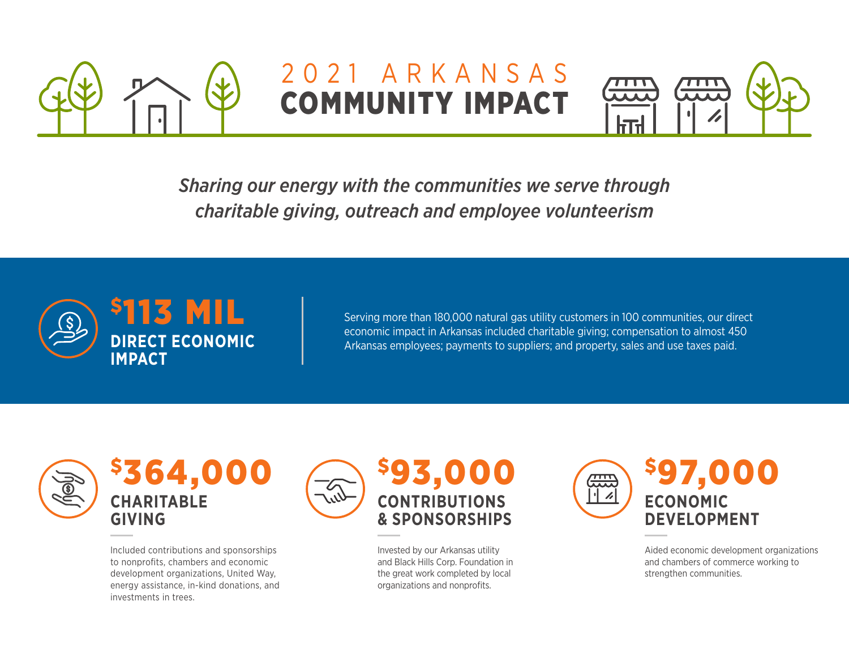

## 2021 ARKANSAS COMMUNITY IMPACT



*Sharing our energy with the communities we serve through charitable giving, outreach and employee volunteerism*



Serving more than 180,000 natural gas utility customers in 100 communities, our direct economic impact in Arkansas included charitable giving; compensation to almost 450 Arkansas employees; payments to suppliers; and property, sales and use taxes paid.



\$364,000 **CHARITABLE GIVING**

Included contributions and sponsorships to nonprofits, chambers and economic development organizations, United Way, energy assistance, in-kind donations, and investments in trees.



Invested by our Arkansas utility and Black Hills Corp. Foundation in the great work completed by local organizations and nonprofits.



Aided economic development organizations and chambers of commerce working to strengthen communities.